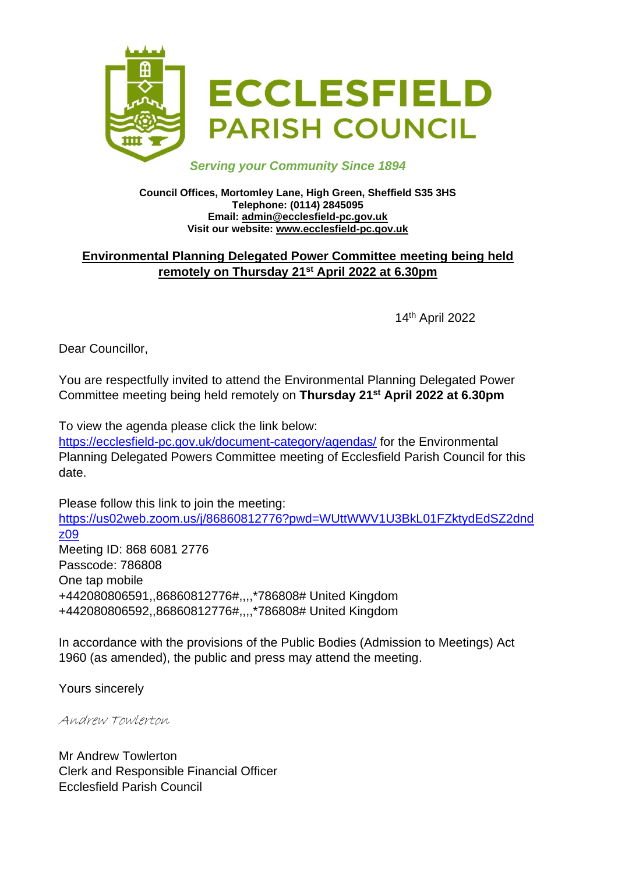

#### *Serving your Community Since 1894*

#### **Council Offices, Mortomley Lane, High Green, Sheffield S35 3HS Telephone: (0114) 2845095 Email: admin@ecclesfield-pc.gov.uk Visit our website: www.ecclesfield-pc.gov.uk**

## **Environmental Planning Delegated Power Committee meeting being held remotely on Thursday 21st April 2022 at 6.30pm**

14th April 2022

Dear Councillor,

You are respectfully invited to attend the Environmental Planning Delegated Power Committee meeting being held remotely on **Thursday 21st April 2022 at 6.30pm**

To view the agenda please click the link below:

<https://ecclesfield-pc.gov.uk/document-category/agendas/> for the Environmental Planning Delegated Powers Committee meeting of Ecclesfield Parish Council for this date.

Please follow this link to join the meeting: [https://us02web.zoom.us/j/86860812776?pwd=WUttWWV1U3BkL01FZktydEdSZ2dnd](https://us02web.zoom.us/j/86860812776?pwd=WUttWWV1U3BkL01FZktydEdSZ2dndz09) [z09](https://us02web.zoom.us/j/86860812776?pwd=WUttWWV1U3BkL01FZktydEdSZ2dndz09) Meeting ID: 868 6081 2776 Passcode: 786808 One tap mobile +442080806591,,86860812776#,,,,\*786808# United Kingdom +442080806592,,86860812776#,,,,\*786808# United Kingdom

In accordance with the provisions of the Public Bodies (Admission to Meetings) Act 1960 (as amended), the public and press may attend the meeting.

Yours sincerely

Andrew Towlerton

Mr Andrew Towlerton Clerk and Responsible Financial Officer Ecclesfield Parish Council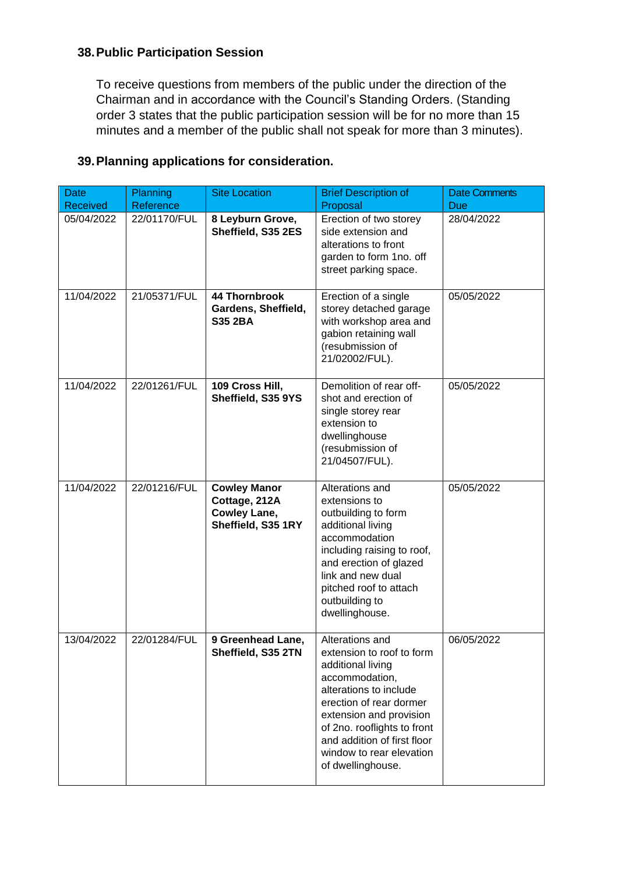## **38.Public Participation Session**

To receive questions from members of the public under the direction of the Chairman and in accordance with the Council's Standing Orders. (Standing order 3 states that the public participation session will be for no more than 15 minutes and a member of the public shall not speak for more than 3 minutes).

| <b>Date</b><br><b>Received</b> | Planning<br>Reference | <b>Site Location</b>                                                              | <b>Brief Description of</b><br>Proposal                                                                                                                                                                                                                                            | <b>Date Comments</b><br>Due |
|--------------------------------|-----------------------|-----------------------------------------------------------------------------------|------------------------------------------------------------------------------------------------------------------------------------------------------------------------------------------------------------------------------------------------------------------------------------|-----------------------------|
| 05/04/2022                     | 22/01170/FUL          | 8 Leyburn Grove,<br>Sheffield, S35 2ES                                            | Erection of two storey<br>side extension and<br>alterations to front<br>garden to form 1no. off<br>street parking space.                                                                                                                                                           | 28/04/2022                  |
| 11/04/2022                     | 21/05371/FUL          | <b>44 Thornbrook</b><br>Gardens, Sheffield,<br><b>S35 2BA</b>                     | Erection of a single<br>storey detached garage<br>with workshop area and<br>gabion retaining wall<br>(resubmission of<br>21/02002/FUL).                                                                                                                                            | 05/05/2022                  |
| 11/04/2022                     | 22/01261/FUL          | 109 Cross Hill,<br>Sheffield, S35 9YS                                             | Demolition of rear off-<br>shot and erection of<br>single storey rear<br>extension to<br>dwellinghouse<br>(resubmission of<br>21/04507/FUL).                                                                                                                                       | 05/05/2022                  |
| 11/04/2022                     | 22/01216/FUL          | <b>Cowley Manor</b><br>Cottage, 212A<br><b>Cowley Lane,</b><br>Sheffield, S35 1RY | Alterations and<br>extensions to<br>outbuilding to form<br>additional living<br>accommodation<br>including raising to roof,<br>and erection of glazed<br>link and new dual<br>pitched roof to attach<br>outbuilding to<br>dwellinghouse.                                           | 05/05/2022                  |
| 13/04/2022                     | 22/01284/FUL          | 9 Greenhead Lane,<br>Sheffield, S35 2TN                                           | Alterations and<br>extension to roof to form<br>additional living<br>accommodation,<br>alterations to include<br>erection of rear dormer<br>extension and provision<br>of 2no. rooflights to front<br>and addition of first floor<br>window to rear elevation<br>of dwellinghouse. | 06/05/2022                  |

## **39.Planning applications for consideration.**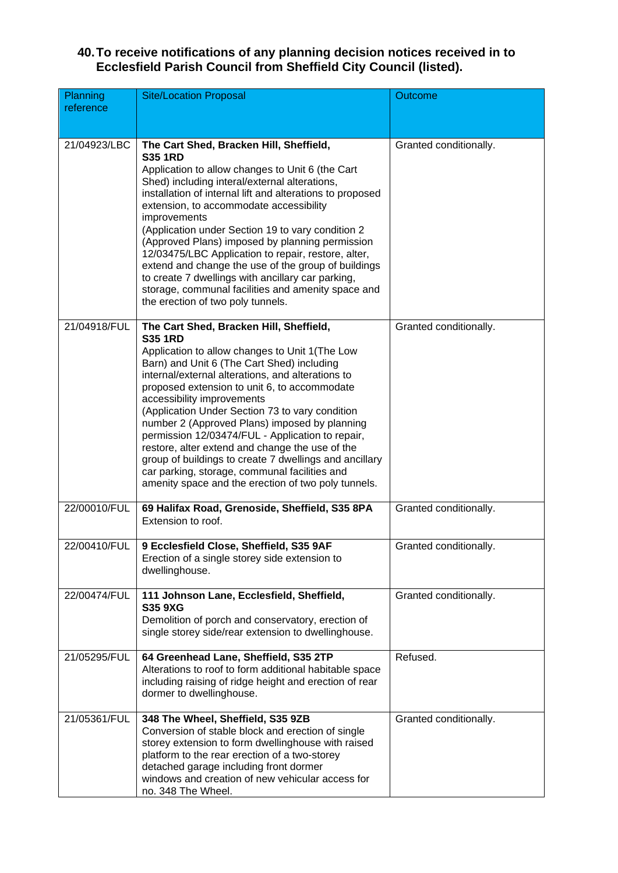#### **40.To receive notifications of any planning decision notices received in to Ecclesfield Parish Council from Sheffield City Council (listed).**

| Planning<br>reference | <b>Site/Location Proposal</b>                                                                                                                                                                                                                                                                                                                                                                                                                                                                                                                                                                                                                                             | Outcome                |
|-----------------------|---------------------------------------------------------------------------------------------------------------------------------------------------------------------------------------------------------------------------------------------------------------------------------------------------------------------------------------------------------------------------------------------------------------------------------------------------------------------------------------------------------------------------------------------------------------------------------------------------------------------------------------------------------------------------|------------------------|
| 21/04923/LBC          | The Cart Shed, Bracken Hill, Sheffield,<br><b>S35 1RD</b><br>Application to allow changes to Unit 6 (the Cart<br>Shed) including interal/external alterations,<br>installation of internal lift and alterations to proposed<br>extension, to accommodate accessibility<br>improvements<br>(Application under Section 19 to vary condition 2<br>(Approved Plans) imposed by planning permission<br>12/03475/LBC Application to repair, restore, alter,<br>extend and change the use of the group of buildings<br>to create 7 dwellings with ancillary car parking,<br>storage, communal facilities and amenity space and<br>the erection of two poly tunnels.              | Granted conditionally. |
| 21/04918/FUL          | The Cart Shed, Bracken Hill, Sheffield,<br><b>S35 1RD</b><br>Application to allow changes to Unit 1(The Low<br>Barn) and Unit 6 (The Cart Shed) including<br>internal/external alterations, and alterations to<br>proposed extension to unit 6, to accommodate<br>accessibility improvements<br>(Application Under Section 73 to vary condition<br>number 2 (Approved Plans) imposed by planning<br>permission 12/03474/FUL - Application to repair,<br>restore, alter extend and change the use of the<br>group of buildings to create 7 dwellings and ancillary<br>car parking, storage, communal facilities and<br>amenity space and the erection of two poly tunnels. | Granted conditionally. |
| 22/00010/FUL          | 69 Halifax Road, Grenoside, Sheffield, S35 8PA<br>Extension to roof.                                                                                                                                                                                                                                                                                                                                                                                                                                                                                                                                                                                                      | Granted conditionally. |
| 22/00410/FUL          | 9 Ecclesfield Close, Sheffield, S35 9AF<br>Erection of a single storey side extension to<br>dwellinghouse.                                                                                                                                                                                                                                                                                                                                                                                                                                                                                                                                                                | Granted conditionally. |
| 22/00474/FUL          | 111 Johnson Lane, Ecclesfield, Sheffield,<br><b>S35 9XG</b><br>Demolition of porch and conservatory, erection of<br>single storey side/rear extension to dwellinghouse.                                                                                                                                                                                                                                                                                                                                                                                                                                                                                                   | Granted conditionally. |
| 21/05295/FUL          | 64 Greenhead Lane, Sheffield, S35 2TP<br>Alterations to roof to form additional habitable space<br>including raising of ridge height and erection of rear<br>dormer to dwellinghouse.                                                                                                                                                                                                                                                                                                                                                                                                                                                                                     | Refused.               |
| 21/05361/FUL          | 348 The Wheel, Sheffield, S35 9ZB<br>Conversion of stable block and erection of single<br>storey extension to form dwellinghouse with raised<br>platform to the rear erection of a two-storey<br>detached garage including front dormer<br>windows and creation of new vehicular access for<br>no. 348 The Wheel.                                                                                                                                                                                                                                                                                                                                                         | Granted conditionally. |